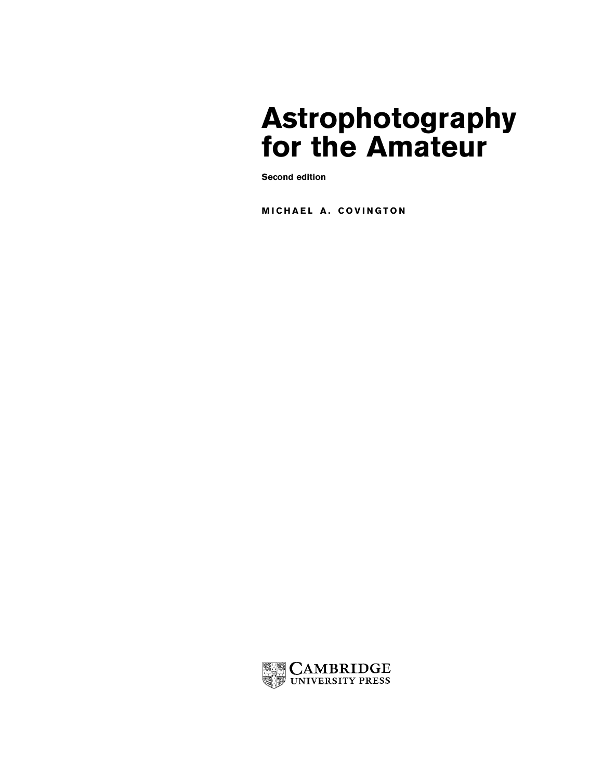# Astrophotography for the Amateur

Second edition

MICHAEL A. COVINGTON

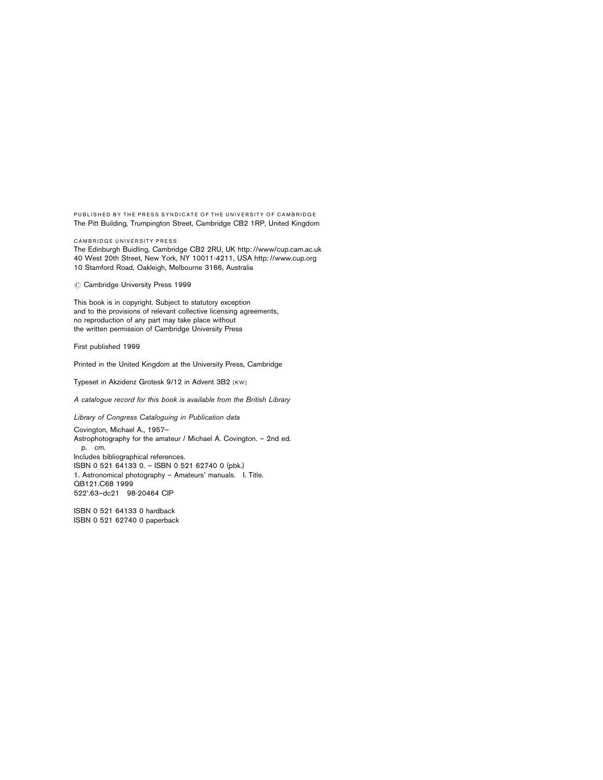PUBLISHED BY THE PRESS SYNDICATE OF THE UNIVERSITY OF CAMBRIDGE The Pitt Building, Trumpington Street, Cambridge CB2 1RP, United Kingdom

CAMBRIDGE UNIVERSITY PRESS

The Edinburgh Buidling, Cambridge CB2 2RU, UK http: //www/cup.cam.ac.uk 40 West 20th Street, New York, NY 10011-4211, USA http: //www.cup.org 10 Stamford Road, Oakleigh, Melbourne 3166, Australia

 $\oslash$  Cambridge University Press 1999

This book is in copyright. Subject to statutory exception and to the provisions of relevant collective licensing agreements, no reproduction of any part may take place without the written permission of Cambridge University Press

First published 1999

Printed in the United Kingdom at the University Press, Cambridge

Typeset in Akzidenz Grotesk 9/12 in Advent 3B2 [KW]

A catalogue record for this book is available from the British Library

Library of Congress Cataloguing in Publication data

Covington, Michael A., 1957-Astrophotography for the amateur / Michael A. Covington. - 2nd ed. p. cm. Includes bibliographical references. ISBN 0 521 64133 0. - ISBN 0 521 62740 0 (pbk.) 1. Astronomical photography - Amateurs' manuals. I. Title. QB121.C68 1999 522'.63±dc21 98-20464 CIP

ISBN 0 521 64133 0 hardback ISBN 0 521 62740 0 paperback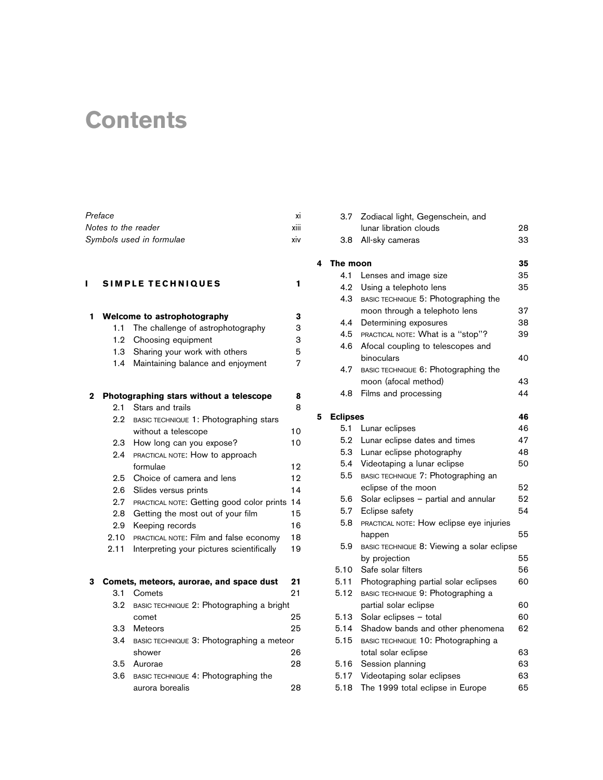## **Contents**

|   | Preface             |                                           | xi   |  |
|---|---------------------|-------------------------------------------|------|--|
|   | Notes to the reader |                                           | xiii |  |
|   |                     | Symbols used in formulae                  | xiv  |  |
|   |                     |                                           |      |  |
| ı |                     | <b>SIMPLE TECHNIQUES</b>                  | 1    |  |
| 1 |                     | Welcome to astrophotography               | 3    |  |
|   | 1.1                 | The challenge of astrophotography         | 3    |  |
|   | 1.2                 | Choosing equipment                        | 3    |  |
|   | 1.3                 | Sharing your work with others             | 5    |  |
|   | 1.4                 | Maintaining balance and enjoyment         | 7    |  |
| 2 |                     | Photographing stars without a telescope   | 8    |  |
|   | 2.1                 | Stars and trails                          | 8    |  |
|   | 2.2                 | BASIC TECHNIQUE 1: Photographing stars    |      |  |
|   |                     | without a telescope                       | 10   |  |
|   | 2.3                 | How long can you expose?                  | 10   |  |
|   | 2.4                 | PRACTICAL NOTE: How to approach           |      |  |
|   |                     | formulae                                  | 12   |  |
|   | 2.5                 | Choice of camera and lens                 | 12   |  |
|   | 2.6                 | Slides versus prints                      | 14   |  |
|   | 2.7                 | PRACTICAL NOTE: Getting good color prints | 14   |  |
|   | 2.8                 | Getting the most out of your film         | 15   |  |
|   | 2.9                 | Keeping records                           | 16   |  |
|   | 2.10                | PRACTICAL NOTE: Film and false economy    | 18   |  |
|   | 2.11                | Interpreting your pictures scientifically | 19   |  |
| 3 |                     | Comets, meteors, aurorae, and space dust  | 21   |  |
|   | 3.1                 | Comets                                    | 21   |  |
|   | 3.2                 | BASIC TECHNIQUE 2: Photographing a bright |      |  |
|   |                     | comet                                     | 25   |  |
|   | 3.3                 | Meteors                                   | 25   |  |
|   | 3.4                 | BASIC TECHNIQUE 3: Photographing a meteor |      |  |
|   |                     | shower                                    | 26   |  |
|   | 3.5                 | Aurorae                                   | 28   |  |
|   | 3.6                 | BASIC TECHNIQUE 4: Photographing the      |      |  |
|   |                     | aurora borealis                           | 28   |  |
|   |                     |                                           |      |  |

|   | 3.7             | Zodiacal light, Gegenschein, and           |    |
|---|-----------------|--------------------------------------------|----|
|   |                 | lunar libration clouds                     | 28 |
|   | 3.8             | All-sky cameras                            | 33 |
| 4 | The moon        |                                            | 35 |
|   | 4.1             | Lenses and image size                      | 35 |
|   | 4.2             | Using a telephoto lens                     | 35 |
|   | 4.3             | BASIC TECHNIQUE 5: Photographing the       |    |
|   |                 | moon through a telephoto lens              | 37 |
|   | 4.4             | Determining exposures                      | 38 |
|   | 4.5             | PRACTICAL NOTE: What is a "stop"?          | 39 |
|   | 4.6             | Afocal coupling to telescopes and          |    |
|   |                 | binoculars                                 | 40 |
|   | 4.7             | BASIC TECHNIQUE 6: Photographing the       |    |
|   |                 | moon (afocal method)                       | 43 |
|   | 4.8             | Films and processing                       | 44 |
| 5 | <b>Eclipses</b> |                                            | 46 |
|   | 5.1             | Lunar eclipses                             | 46 |
|   | 5.2             | Lunar eclipse dates and times              | 47 |
|   | 5.3             | Lunar eclipse photography                  | 48 |
|   | 5.4             | Videotaping a lunar eclipse                | 50 |
|   | 5.5             | BASIC TECHNIQUE 7: Photographing an        |    |
|   |                 | eclipse of the moon                        | 52 |
|   | 5.6             | Solar eclipses - partial and annular       | 52 |
|   | 5.7             | Eclipse safety                             | 54 |
|   | 5.8             | PRACTICAL NOTE: How eclipse eye injuries   |    |
|   |                 | happen                                     | 55 |
|   | 5.9             | BASIC TECHNIQUE 8: Viewing a solar eclipse |    |
|   |                 | by projection                              | 55 |
|   | 5.10            | Safe solar filters                         | 56 |
|   | 5.11            | Photographing partial solar eclipses       | 60 |
|   | 5.12            | BASIC TECHNIQUE 9: Photographing a         |    |
|   |                 | partial solar eclipse                      | 60 |
|   | 5.13            | Solar eclipses - total                     | 60 |
|   | 5.14            | Shadow bands and other phenomena           | 62 |
|   | 5.15            | BASIC TECHNIQUE 10: Photographing a        |    |
|   |                 | total solar eclipse                        | 63 |
|   | 5.16            | Session planning                           | 63 |
|   | 5.17            | Videotaping solar eclipses                 | 63 |
|   | 5.18            | The 1999 total eclipse in Europe           | 65 |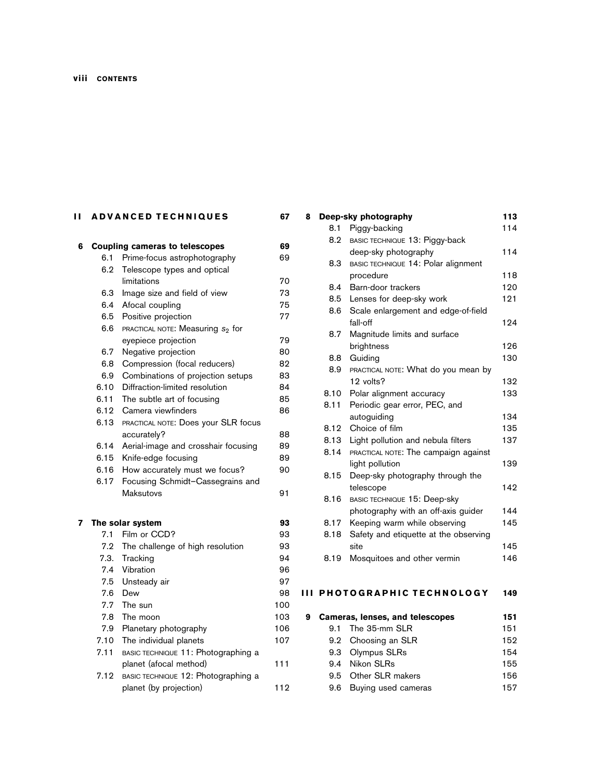#### viii CONTENTS

#### II ADVANCED TECHNIQUES 67

| 6 |      | <b>Coupling cameras to telescopes</b>        | 69  |
|---|------|----------------------------------------------|-----|
|   | 6.1  | Prime-focus astrophotography                 | 69  |
|   | 6.2  | Telescope types and optical                  |     |
|   |      | limitations                                  | 70  |
|   | 6.3  | Image size and field of view                 | 73  |
|   | 6.4  | Afocal coupling                              | 75  |
|   | 6.5  | Positive projection                          | 77  |
|   | 6.6  | PRACTICAL NOTE: Measuring s <sub>2</sub> for |     |
|   |      | eyepiece projection                          | 79  |
|   | 6.7  | Negative projection                          | 80  |
|   | 6.8  | Compression (focal reducers)                 | 82  |
|   | 6.9  | Combinations of projection setups            | 83  |
|   | 6.10 | Diffraction-limited resolution               | 84  |
|   | 6.11 | The subtle art of focusing                   | 85  |
|   | 6.12 | Camera viewfinders                           | 86  |
|   | 6.13 | PRACTICAL NOTE: Does your SLR focus          |     |
|   |      | accurately?                                  | 88  |
|   | 6.14 | Aerial-image and crosshair focusing          | 89  |
|   | 6.15 | Knife-edge focusing                          | 89  |
|   | 6.16 | How accurately must we focus?                | 90  |
|   | 6.17 | Focusing Schmidt-Cassegrains and             |     |
|   |      | Maksutovs                                    | 91  |
| 7 |      | The solar system                             | 93  |
|   | 7.1  | Film or CCD?                                 | 93  |
|   | 7.2  | The challenge of high resolution             | 93  |
|   | 7.3. | Tracking                                     | 94  |
|   | 7.4  | Vibration                                    | 96  |
|   | 7.5  | Unsteady air                                 | 97  |
|   | 7.6  | Dew                                          | 98  |
|   | 7.7  | The sun                                      | 100 |
|   | 7.8  | The moon                                     | 103 |
|   | 7.9  | Planetary photography                        | 106 |
|   | 7.10 | The individual planets                       | 107 |
|   | 7.11 | BASIC TECHNIQUE 11: Photographing a          |     |
|   |      | planet (afocal method)                       | 111 |
|   | 7.12 | BASIC TECHNIQUE 12: Photographing a          |     |
|   |      | planet (by projection)                       | 112 |
|   |      |                                              |     |

| 8 |      | Deep-sky photography                  | 113 |
|---|------|---------------------------------------|-----|
|   | 8.1  | Piggy-backing                         | 114 |
|   | 8.2  | BASIC TECHNIQUE 13: Piggy-back        |     |
|   |      | deep-sky photography                  | 114 |
|   | 8.3  | BASIC TECHNIQUE 14: Polar alignment   |     |
|   |      | procedure                             | 118 |
|   | 8.4  | Barn-door trackers                    | 120 |
|   | 8.5  | Lenses for deep-sky work              | 121 |
|   | 8.6  | Scale enlargement and edge-of-field   |     |
|   |      | fall-off                              | 124 |
|   | 8.7  | Magnitude limits and surface          |     |
|   |      | brightness                            | 126 |
|   | 8.8  | Guiding                               | 130 |
|   | 8.9  | PRACTICAL NOTE: What do you mean by   |     |
|   |      | 12 volts?                             | 132 |
|   | 8.10 | Polar alignment accuracy              | 133 |
|   | 8.11 | Periodic gear error, PEC, and         |     |
|   |      | autoguiding                           | 134 |
|   | 8.12 | Choice of film                        | 135 |
|   | 8.13 | Light pollution and nebula filters    | 137 |
|   | 8.14 | PRACTICAL NOTE: The campaign against  |     |
|   |      | light pollution                       | 139 |
|   | 8.15 | Deep-sky photography through the      |     |
|   |      | telescope                             | 142 |
|   | 8.16 | BASIC TECHNIQUE 15: Deep-sky          |     |
|   |      | photography with an off-axis guider   | 144 |
|   | 8.17 | Keeping warm while observing          | 145 |
|   | 8.18 | Safety and etiquette at the observing |     |
|   |      | site                                  | 145 |
|   | 8.19 | Mosquitoes and other vermin           | 146 |
|   |      |                                       |     |
|   |      |                                       |     |

### 198 III PHOTOGRAPHIC TECHNOLOGY 149

| 53 | 9 |     | Cameras, lenses, and telescopes | 151 |
|----|---|-----|---------------------------------|-----|
| 06 |   | 9.1 | The 35-mm SLR                   | 151 |
| )7 |   |     | 9.2 Choosing an SLR             | 152 |
|    |   |     | 9.3 Olympus SLRs                | 154 |
| 11 |   |     | 9.4 Nikon SLRs                  | 155 |
|    |   |     | 9.5 Other SLR makers            | 156 |
| 12 |   |     | 9.6 Buying used cameras         | 157 |
|    |   |     |                                 |     |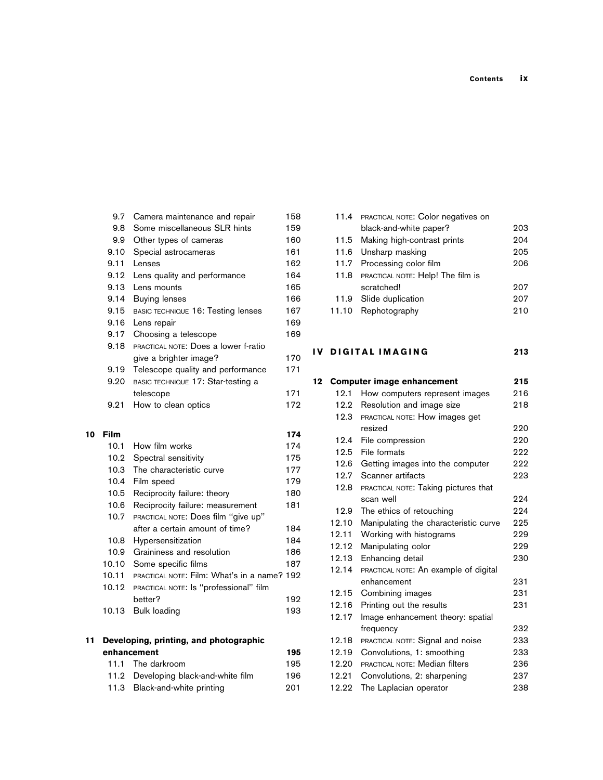| 9.7  | Camera maintenance and repair        | 158 |
|------|--------------------------------------|-----|
| 9.8  | Some miscellaneous SLR hints         | 159 |
| 9.9  | Other types of cameras               | 160 |
| 9.10 | Special astrocameras                 | 161 |
| 9.11 | Lenses                               | 162 |
| 9.12 | Lens quality and performance         | 164 |
| 9.13 | Lens mounts                          | 165 |
| 9.14 | Buying lenses                        | 166 |
| 9.15 | BASIC TECHNIQUE 16: Testing lenses   | 167 |
| 9.16 | Lens repair                          | 169 |
| 9.17 | Choosing a telescope                 | 169 |
| 9.18 | PRACTICAL NOTE: Does a lower f-ratio |     |
|      | give a brighter image?               | 170 |
| 9.19 | Telescope quality and performance    | 171 |
| 9.20 | BASIC TECHNIQUE 17: Star-testing a   |     |
|      | telescope                            | 171 |
| 9.21 | How to clean optics                  | 172 |

#### 10 Film 174

| 10.1              | How film works                                | 174 |
|-------------------|-----------------------------------------------|-----|
| 10.2 <sub>1</sub> | Spectral sensitivity                          | 175 |
| 10.3              | The characteristic curve                      | 177 |
| 10.4              | Film speed                                    | 179 |
| 10.5              | Reciprocity failure: theory                   | 180 |
| 10.6              | Reciprocity failure: measurement              | 181 |
| 10.7              | PRACTICAL NOTE: Does film "give up"           |     |
|                   | after a certain amount of time?               | 184 |
| 10.8              | Hypersensitization                            | 184 |
| 10.9              | Graininess and resolution                     | 186 |
| 10.10             | Some specific films                           | 187 |
| 10.11             | PRACTICAL NOTE: Film: What's in a name? 192   |     |
| 10.12             | <b>PRACTICAL NOTE: Is "professional" film</b> |     |
|                   | better?                                       | 192 |
| 10.13             | <b>Bulk loading</b>                           | 193 |

#### 11 Developing, printing, and photographic enhancement 195 11.1 The darkroom 195

| 11.2 Developing black-and-white film | 196 |
|--------------------------------------|-----|
| 11.3 Black-and-white printing        | 201 |

| 11.4 PRACTICAL NOTE: Color negatives on |     |
|-----------------------------------------|-----|
| black-and-white paper?                  | 203 |
| 11.5 Making high-contrast prints        | 204 |
| 11.6 Unsharp masking                    | 205 |
| 11.7 Processing color film              | 206 |
| 11.8 PRACTICAL NOTE: Help! The film is  |     |
| scratched!                              | 207 |
| 11.9 Slide duplication                  | 207 |
| 11.10 Rephotography                     | 210 |
|                                         |     |

#### IV DIGITAL IMAGING 213

| 12 |       | <b>Computer image enhancement</b>           | 215 |
|----|-------|---------------------------------------------|-----|
|    | 12.1  | How computers represent images              | 216 |
|    | 12.2  | Resolution and image size                   | 218 |
|    | 12.3  | PRACTICAL NOTE: How images get              |     |
|    |       | resized                                     | 220 |
|    |       | 12.4 File compression                       | 220 |
|    | 12.5  | File formats                                | 222 |
|    | 12.6  | Getting images into the computer            | 222 |
|    | 12.7  | Scanner artifacts                           | 223 |
|    | 12.8  | <b>PRACTICAL NOTE: Taking pictures that</b> |     |
|    |       | scan well                                   | 224 |
|    | 12.9  | The ethics of retouching                    | 224 |
|    | 12.10 | Manipulating the characteristic curve       | 225 |
|    | 12.11 | Working with histograms                     | 229 |
|    | 12.12 | Manipulating color                          | 229 |
|    | 12.13 | Enhancing detail                            | 230 |
|    | 12.14 | PRACTICAL NOTE: An example of digital       |     |
|    |       | enhancement                                 | 231 |
|    | 12.15 | Combining images                            | 231 |
|    | 12.16 | Printing out the results                    | 231 |
|    | 12.17 | Image enhancement theory: spatial           |     |
|    |       | frequency                                   | 232 |
|    | 12.18 | <b>PRACTICAL NOTE: Signal and noise</b>     | 233 |
|    | 12.19 | Convolutions, 1: smoothing                  | 233 |
|    | 12.20 | <b>PRACTICAL NOTE: Median filters</b>       | 236 |
|    | 12.21 | Convolutions, 2: sharpening                 | 237 |
|    | 12.22 | The Laplacian operator                      | 238 |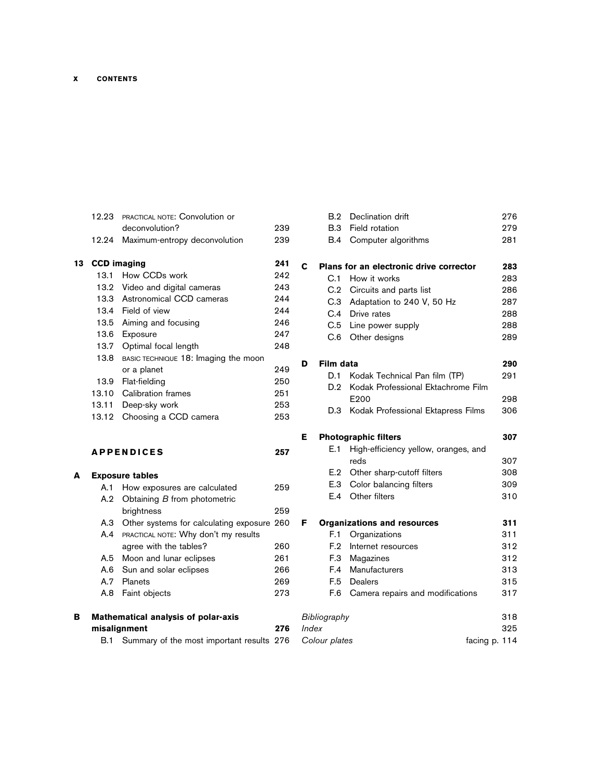#### x CONTENTS

|    | 12.23 | <b>PRACTICAL NOTE: Convolution or</b>                                       |      |
|----|-------|-----------------------------------------------------------------------------|------|
|    |       | deconvolution?                                                              | 239  |
|    | 12.24 | Maximum-entropy deconvolution                                               | 239  |
| 13 |       | <b>CCD imaging</b>                                                          | 241  |
|    | 13.1  | How CCDs work                                                               | 242  |
|    | 13.2  | Video and digital cameras                                                   | 243  |
|    | 13.3  | Astronomical CCD cameras                                                    | 244  |
|    | 13.4  | Field of view                                                               | 244  |
|    | 13.5  | Aiming and focusing                                                         | 246  |
|    | 13.6  | Exposure                                                                    | 247  |
|    | 13.7  | Optimal focal length                                                        | 248  |
|    | 13.8  | BASIC TECHNIQUE 18: Imaging the moon                                        |      |
|    |       | or a planet                                                                 | 249  |
|    | 13.9  | Flat-fielding                                                               | 250  |
|    | 13.10 | Calibration frames                                                          | 251  |
|    | 13.11 | Deep-sky work                                                               | 253  |
|    | 13.12 | Choosing a CCD camera                                                       | 253  |
|    |       | <b>APPENDICES</b>                                                           | 257  |
| A  |       | <b>Exposure tables</b>                                                      |      |
|    | A.1   | How exposures are calculated                                                | 259  |
|    | A.2   | Obtaining B from photometric                                                |      |
|    |       | brightness                                                                  | 259  |
|    | A.3   | Other systems for calculating exposure 260                                  |      |
|    | A.4   | PRACTICAL NOTE: Why don't my results                                        |      |
|    |       | agree with the tables?                                                      | 260  |
|    | A.5   | Moon and lunar eclipses                                                     | 261  |
|    | A.6   | Sun and solar eclipses                                                      | 266  |
|    | A.7   | Planets                                                                     | 269  |
|    | A.8   | Faint objects                                                               | 273  |
| в  |       | <b>Mathematical analysis of polar-axis</b>                                  |      |
|    |       | misalignment<br><b>D</b> 4 <b>C</b><br>of the compact three concentrations. | 276  |
|    |       |                                                                             | 0.70 |

|       | <b>B.2</b>    | <b>Declination drift</b>                     | 276           |
|-------|---------------|----------------------------------------------|---------------|
|       | <b>B.3</b>    | Field rotation                               | 279           |
|       | B.4           | Computer algorithms                          | 281           |
| C     |               | Plans for an electronic drive corrector      | 283           |
|       | C.1           | How it works                                 | 283           |
|       | C.2           | Circuits and parts list                      | 286           |
|       | C.3           | Adaptation to 240 V, 50 Hz                   | 287           |
|       | C.4           | Drive rates                                  | 288           |
|       | C.5           | Line power supply                            | 288           |
|       | C.6           | Other designs                                | 289           |
| D     | Film data     |                                              | 290           |
|       | D.1           | Kodak Technical Pan film (TP)                | 291           |
|       | D.2           | Kodak Professional Ektachrome Film           |               |
|       |               | E200                                         | 298           |
|       | D.3           | Kodak Professional Ektapress Films           | 306           |
| E     |               | <b>Photographic filters</b>                  | 307           |
|       | E.1           | High-efficiency yellow, oranges, and<br>reds |               |
|       | E.2           |                                              | 307<br>308    |
|       |               | Other sharp-cutoff filters                   | 309           |
|       |               | E.3 Color balancing filters                  |               |
|       |               | E.4 Other filters                            | 310           |
| F     |               | <b>Organizations and resources</b>           | 311           |
|       | F.1           | Organizations                                | 311           |
|       | F.2           | Internet resources                           | 312           |
|       |               | F.3 Magazines                                | 312           |
|       |               | F.4 Manufacturers                            | 313           |
|       | F.5           | Dealers                                      | 315           |
|       | F.6           | Camera repairs and modifications             | 317           |
|       | Bibliography  |                                              | 318           |
| Index |               |                                              | 325           |
|       | Colour plates |                                              | facing p. 114 |

B.1 Summary of the most important results 276 Colour plates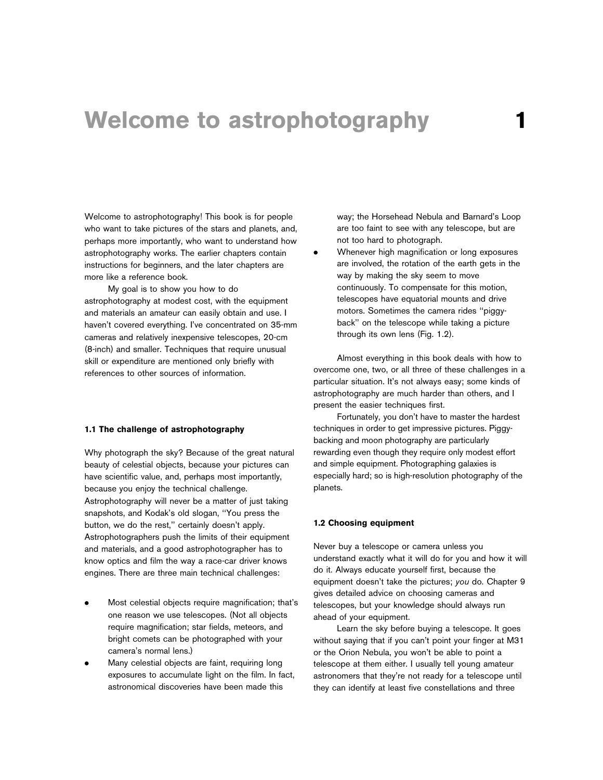### Welcome to astrophotography

Welcome to astrophotography! This book is for people who want to take pictures of the stars and planets, and, perhaps more importantly, who want to understand how astrophotography works. The earlier chapters contain instructions for beginners, and the later chapters are more like a reference book.

My goal is to show you how to do astrophotography at modest cost, with the equipment and materials an amateur can easily obtain and use. I haven't covered everything. I've concentrated on 35-mm cameras and relatively inexpensive telescopes, 20-cm (8-inch) and smaller. Techniques that require unusual skill or expenditure are mentioned only briefly with references to other sources of information.

#### 1.1 The challenge of astrophotography

Why photograph the sky? Because of the great natural beauty of celestial objects, because your pictures can have scientific value, and, perhaps most importantly, because you enjoy the technical challenge. Astrophotography will never be a matter of just taking snapshots, and Kodak's old slogan, "You press the button, we do the rest,'' certainly doesn't apply. Astrophotographers push the limits of their equipment and materials, and a good astrophotographer has to know optics and film the way a race-car driver knows engines. There are three main technical challenges:

- Most celestial objects require magnification; that's one reason we use telescopes. (Not all objects require magnification; star fields, meteors, and bright comets can be photographed with your camera's normal lens.)
- Many celestial objects are faint, requiring long exposures to accumulate light on the film. In fact, astronomical discoveries have been made this

way; the Horsehead Nebula and Barnard's Loop are too faint to see with any telescope, but are not too hard to photograph.

Whenever high magnification or long exposures are involved, the rotation of the earth gets in the way by making the sky seem to move continuously. To compensate for this motion, telescopes have equatorial mounts and drive motors. Sometimes the camera rides "piggyback'' on the telescope while taking a picture through its own lens (Fig. 1.2).

Almost everything in this book deals with how to overcome one, two, or all three of these challenges in a particular situation. It's not always easy; some kinds of astrophotography are much harder than others, and I present the easier techniques first.

Fortunately, you don't have to master the hardest techniques in order to get impressive pictures. Piggybacking and moon photography are particularly rewarding even though they require only modest effort and simple equipment. Photographing galaxies is especially hard; so is high-resolution photography of the planets.

#### 1.2 Choosing equipment

Never buy a telescope or camera unless you understand exactly what it will do for you and how it will do it. Always educate yourself first, because the equipment doesn't take the pictures; you do. Chapter 9 gives detailed advice on choosing cameras and telescopes, but your knowledge should always run ahead of your equipment.

Learn the sky before buying a telescope. It goes without saying that if you can't point your finger at M31 or the Orion Nebula, you won't be able to point a telescope at them either. I usually tell young amateur astronomers that they're not ready for a telescope until they can identify at least five constellations and three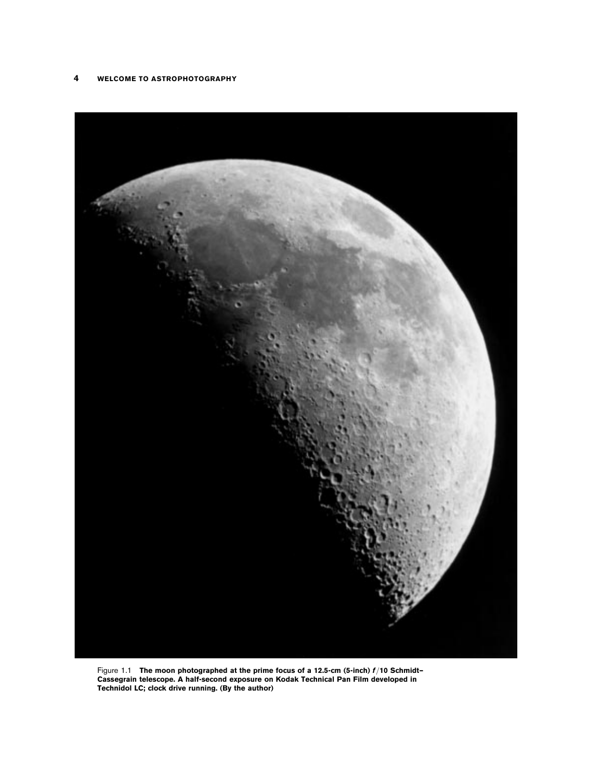#### 4 WELCOME TO ASTROPHOTOGRAPHY



Figure 1.1 The moon photographed at the prime focus of a 12.5-cm (5-inch)  $f/10$  Schmidt-Cassegrain telescope. A half-second exposure on Kodak Technical Pan Film developed in Technidol LC; clock drive running. (By the author)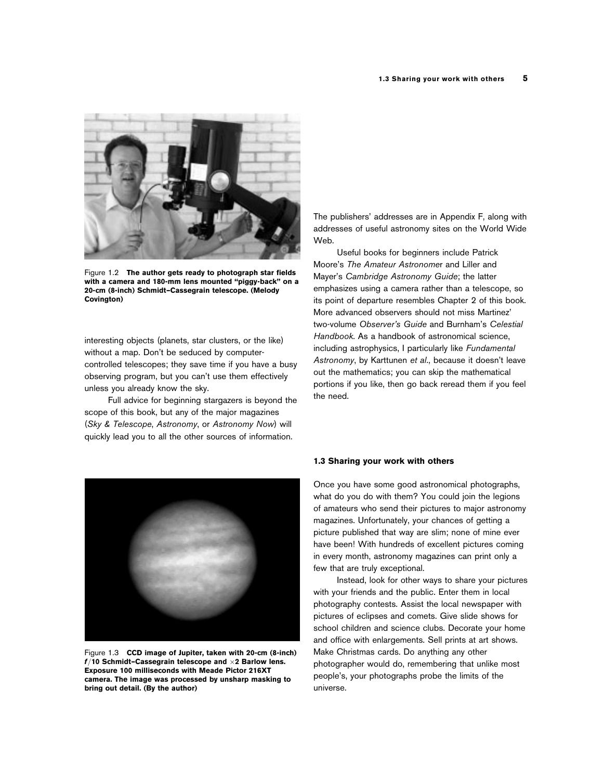

Figure  $1.2$  The author gets ready to photograph star fields with a camera and 180-mm lens mounted "piggy-back" on a 20-cm (8-inch) Schmidt-Cassegrain telescope. (Melody Covington)

interesting objects (planets, star clusters, or the like) without a map. Don't be seduced by computercontrolled telescopes; they save time if you have a busy observing program, but you can't use them effectively unless you already know the sky.

Full advice for beginning stargazers is beyond the scope of this book, but any of the major magazines (Sky & Telescope, Astronomy, or Astronomy Now) will quickly lead you to all the other sources of information.

The publishers' addresses are in Appendix F, along with addresses of useful astronomy sites on the World Wide Web.

Useful books for beginners include Patrick Moore's The Amateur Astronomer and Liller and Mayer's Cambridge Astronomy Guide; the latter emphasizes using a camera rather than a telescope, so its point of departure resembles Chapter 2 of this book. More advanced observers should not miss Martinez' two-volume Observer's Guide and Burnham's Celestial Handbook. As a handbook of astronomical science, including astrophysics, I particularly like Fundamental Astronomy, by Karttunen et al., because it doesn't leave out the mathematics; you can skip the mathematical portions if you like, then go back reread them if you feel the need.



Figure 1.3 CCD image of Jupiter, taken with 20-cm (8-inch)  $f/10$  Schmidt-Cassegrain telescope and  $\times 2$  Barlow lens. Exposure 100 milliseconds with Meade Pictor 216XT camera. The image was processed by unsharp masking to bring out detail. (By the author)

#### 1.3 Sharing your work with others

Once you have some good astronomical photographs, what do you do with them? You could join the legions of amateurs who send their pictures to major astronomy magazines. Unfortunately, your chances of getting a picture published that way are slim; none of mine ever have been! With hundreds of excellent pictures coming in every month, astronomy magazines can print only a few that are truly exceptional.

Instead, look for other ways to share your pictures with your friends and the public. Enter them in local photography contests. Assist the local newspaper with pictures of eclipses and comets. Give slide shows for school children and science clubs. Decorate your home and office with enlargements. Sell prints at art shows. Make Christmas cards. Do anything any other photographer would do, remembering that unlike most people's, your photographs probe the limits of the universe.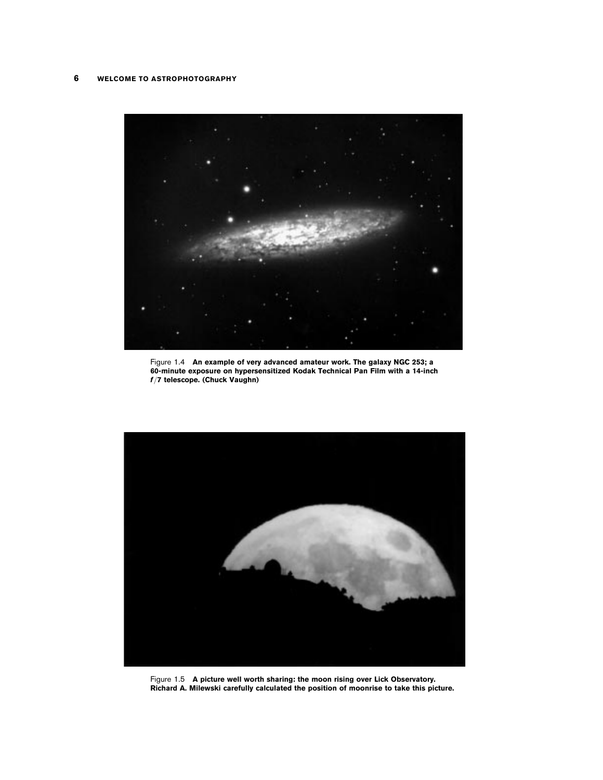#### 6 WELCOME TO ASTROPHOTOGRAPHY



Figure 1.4 An example of very advanced amateur work. The galaxy NGC 253; a 60-minute exposure on hypersensitized Kodak Technical Pan Film with a 14-inch  $f/7$  telescope. (Chuck Vaughn)



Figure 1.5 A picture well worth sharing: the moon rising over Lick Observatory. Richard A. Milewski carefully calculated the position of moonrise to take this picture.